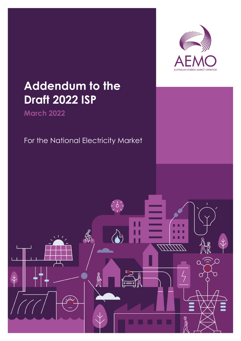

# **Addendum to the Draft 2022 ISP**

**March 2022**

### For the National Electricity Market

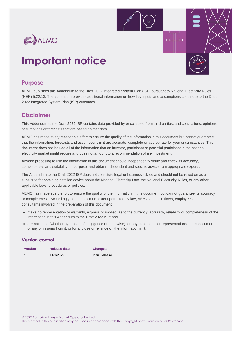

## **Important notice**

### **Purpose**

AEMO publishes this Addendum to the Draft 2022 Integrated System Plan (ISP) pursuant to National Electricity Rules (NER) 5.22.13. The addendum provides additional information on how key inputs and assumptions contribute to the Draft 2022 Integrated System Plan (ISP) outcomes.

### **Disclaimer**

This Addendum to the Draft 2022 ISP contains data provided by or collected from third parties, and conclusions, opinions, assumptions or forecasts that are based on that data.

AEMO has made every reasonable effort to ensure the quality of the information in this document but cannot guarantee that the information, forecasts and assumptions in it are accurate, complete or appropriate for your circumstances. This document does not include all of the information that an investor, participant or potential participant in the national electricity market might require and does not amount to a recommendation of any investment.

Anyone proposing to use the information in this document should independently verify and check its accuracy, completeness and suitability for purpose, and obtain independent and specific advice from appropriate experts.

The Addendum to the Draft 2022 ISP does not constitute legal or business advice and should not be relied on as a substitute for obtaining detailed advice about the National Electricity Law, the National Electricity Rules, or any other applicable laws, procedures or policies.

AEMO has made every effort to ensure the quality of the information in this document but cannot guarantee its accuracy or completeness. Accordingly, to the maximum extent permitted by law, AEMO and its officers, employees and consultants involved in the preparation of this document:

- make no representation or warranty, express or implied, as to the currency, accuracy, reliability or completeness of the information in this Addendum to the Draft 2022 ISP; and
- are not liable (whether by reason of negligence or otherwise) for any statements or representations in this document, or any omissions from it, or for any use or reliance on the information in it.

#### **Version control**

| <b>Version</b> | Release date | <b>Changes</b>   |
|----------------|--------------|------------------|
| 1.0            | 11/3/2022    | Initial release. |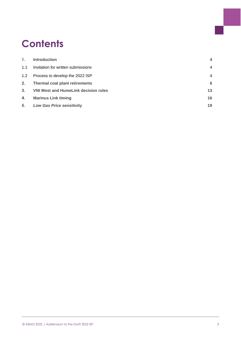## **Contents**

| $\mathbf{1}$ . | <b>Introduction</b>                         | $\overline{4}$ |
|----------------|---------------------------------------------|----------------|
| 1.1            | Invitation for written submissions          | 4              |
| 1.2            | Process to develop the 2022 ISP             | 4              |
| 2.             | Thermal coal plant retirements              | 6              |
| 3 <sub>1</sub> | <b>VNI West and HumeLink decision rules</b> | 13             |
| 4.             | <b>Marinus Link timing</b>                  | 16             |
| 5.             | <b>Low Gas Price sensitivity</b>            | 19             |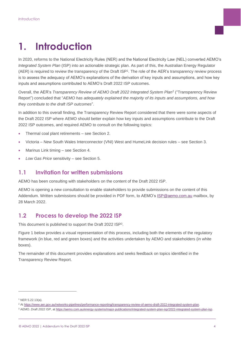### <span id="page-3-0"></span>**1. Introduction**

In 2020, reforms to the National Electricity Rules (NER) and the National Electricity Law (NEL) converted AEMO's *Integrated System Plan* (ISP) into an actionable strategic plan. As part of this, the Australian Energy Regulator (AER) is required to review the transparency of the Draft ISP<sup>1</sup>. The role of the AER's transparency review process is to assess the adequacy of AEMO's explanations of the derivation of key inputs and assumptions, and how key inputs and assumptions contributed to AEMO's Draft 2022 ISP outcomes.

Overall, the AER's *Transparency Review of AEMO Draft 2022 Integrated System Plan*<sup>2</sup> ("Transparency Review Report") concluded that "*AEMO has adequately explained the majority of its inputs and assumptions, and how they contribute to the draft ISP outcomes*".

In addition to this overall finding, the Transparency Review Report considered that there were some aspects of the Draft 2022 ISP where AEMO should better explain how key inputs and assumptions contribute to the Draft 2022 ISP outcomes, and required AEMO to consult on the following topics:

- Thermal coal plant retirements see Section [2.](#page-5-0)
- Victoria New South Wales Interconnector (VNI) West and HumeLink decision rules see Section [3.](#page-12-0)
- Marinus Link timing see Section [4.](#page-15-0)
- *Low Gas Price* sensitivity see Section [5.](#page-18-0)

### <span id="page-3-1"></span>**1.1 Invitation for written submissions**

AEMO has been consulting with stakeholders on the content of the Draft 2022 ISP.

AEMO is opening a new consultation to enable stakeholders to provide submissions on the content of this Addendum. Written submissions should be provided in PDF form, to AEMO's [ISP@aemo.com.au](mailto:ISP@aemo.com.au) mailbox, by 28 March 2022.

### <span id="page-3-2"></span>**1.2 Process to develop the 2022 ISP**

This document is published to support the Draft 2022 ISP<sup>3</sup>.

[Figure 1](#page-4-0) below provides a visual representation of this process, including both the elements of the regulatory framework (in blue, red and green boxes) and the activities undertaken by AEMO and stakeholders (in white boxes).

The remainder of this document provides explanations and seeks feedback on topics identified in the Transparency Review Report.

<sup>1</sup> NER 5.22.13(a).

<sup>2</sup> A[t https://www.aer.gov.au/networks-pipelines/performance-reporting/transparency-review-of-aemo-draft-2022-integrated-system-plan.](https://www.aer.gov.au/networks-pipelines/performance-reporting/transparency-review-of-aemo-draft-2022-integrated-system-plan)

<sup>3</sup> AEMO. *Draft 2022 ISP*, a[t https://aemo.com.au/energy-systems/major-publications/integrated-system-plan-isp/2022-integrated-system-plan-isp.](https://aemo.com.au/energy-systems/major-publications/integrated-system-plan-isp/2022-integrated-system-plan-isp)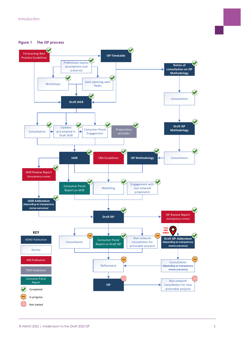<span id="page-4-0"></span>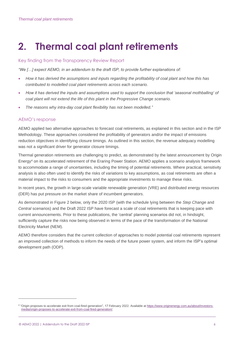## <span id="page-5-0"></span>**2. Thermal coal plant retirements**

#### Key finding from the Transparency Review Report

*"We […] expect AEMO, in an addendum to the draft ISP, to provide further explanations of:* 

- *How it has derived the assumptions and inputs regarding the profitability of coal plant and how this has contributed to modelled coal plant retirements across each scenario.*
- *How it has derived the inputs and assumptions used to support the conclusion that 'seasonal mothballing' of coal plant will not extend the life of this plant in the Progressive Change scenario.*
- *The reasons why intra-day coal plant flexibility has not been modelled."*

#### AEMO's response

AEMO applied two alternative approaches to forecast coal retirements, as explained in this section and in the ISP Methodology. These approaches considered the profitability of generators and/or the impact of emissions reduction objectives in identifying closure timings. As outlined in this section, the revenue adequacy modelling was not a significant driver for generator closure timings.

Thermal generation retirements are challenging to predict, as demonstrated by the latest announcement by Origin Energy<sup>4</sup> on its accelerated retirement of the Eraring Power Station. AEMO applies a scenario analysis framework to accommodate a range of uncertainties, including the timing of potential retirements. Where practical, sensitivity analysis is also often used to identify the risks of variations to key assumptions, as coal retirements are often a material impact to the risks to consumers and the appropriate investments to manage these risks.

In recent years, the growth in large-scale variable renewable generation (VRE) and distributed energy resources (DER) has put pressure on the market share of incumbent generators.

As demonstrated in [Figure 2](#page-6-0) below, only the 2020 ISP (with the schedule lying between the *Step Change* and *Central* scenarios) and the Draft 2022 ISP have forecast a scale of coal retirements that is keeping pace with current announcements. Prior to these publications, the 'central' planning scenarios did not, in hindsight, sufficiently capture the risks now being observed in terms of the pace of the transformation of the National Electricity Market (NEM).

AEMO therefore considers that the current collection of approaches to model potential coal retirements represent an improved collection of methods to inform the needs of the future power system, and inform the ISP's optimal development path (ODP).

<sup>&</sup>lt;sup>4</sup> "Origin proposes to accelerate exit from coal-fired generation", 17 February 2022. Available at [https://www.originenergy.com.au/about/investors](https://www.originenergy.com.au/about/investors-media/origin-proposes-to-accelerate-exit-from-coal-fired-generation/)[media/origin-proposes-to-accelerate-exit-from-coal-fired-generation/.](https://www.originenergy.com.au/about/investors-media/origin-proposes-to-accelerate-exit-from-coal-fired-generation/)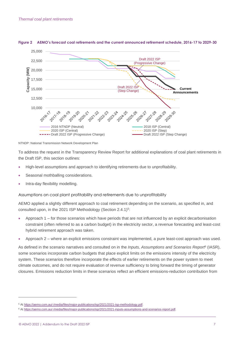

#### <span id="page-6-0"></span>**Figure 2 AEMO's forecast coal retirements and the current announced retirement schedule, 2016-17 to 2029-30**

NTNDP: National Transmission Network Development Plan

To address the request in the Transparency Review Report for additional explanations of coal plant retirements in the Draft ISP, this section outlines:

- High-level assumptions and approach to identifying retirements due to unprofitability.
- Seasonal mothballing considerations.
- Intra-day flexibility modelling.

Assumptions on coal plant profitability and retirements due to unprofitability

AEMO applied a slightly different approach to coal retirement depending on the scenario, as specified in, and consulted upon, in the 2021 ISP Methodology (Section 2.4.1)<sup>5</sup>:

- Approach 1 for those scenarios which have periods that are not influenced by an explicit decarbonisation constraint (often referred to as a carbon budget) in the electricity sector, a revenue forecasting and least-cost hybrid retirement approach was taken.
- Approach 2 where an explicit emissions constraint was implemented, a pure least-cost approach was used.

As defined in the scenario narratives and consulted on in the *Inputs, Assumptions and Scenarios Report*<sup>6</sup> (IASR), some scenarios incorporate carbon budgets that place explicit limits on the emissions intensity of the electricity system. These scenarios therefore incorporate the effects of earlier retirements on the power system to meet climate outcomes, and do not require evaluation of revenue sufficiency to bring forward the timing of generator closures. Emissions reduction limits in these scenarios reflect an efficient emissions-reduction contribution from

<sup>5</sup> At [https://aemo.com.au/-/media/files/major-publications/isp/2021/2021-isp-methodology.pdf.](https://aemo.com.au/-/media/files/major-publications/isp/2021/2021-isp-methodology.pdf?la=en)

<sup>6</sup> At [https://aemo.com.au/-/media/files/major-publications/isp/2021/2021-inputs-assumptions-and-scenarios-report.pdf.](https://aemo.com.au/-/media/files/major-publications/isp/2021/2021-inputs-assumptions-and-scenarios-report.pdf?la=en)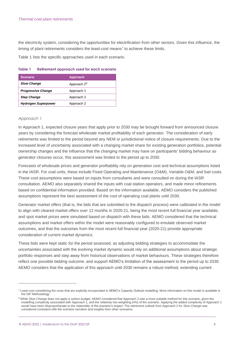the electricity system, considering the opportunities for electrification from other sectors. Given this influence, the timing of plant retirements considers the least-cost means<sup>7</sup> to achieve these limits.

[Table 1](#page-7-0) lists the specific approaches used in each scenario.

| <b>Scenario</b>            | <b>Approach</b>         |
|----------------------------|-------------------------|
| <b>Slow Change</b>         | Approach 2 <sup>8</sup> |
| <b>Progressive Change</b>  | Approach 1              |
| <b>Step Change</b>         | Approach 2              |
| <b>Hydrogen Superpower</b> | Approach 2              |

#### <span id="page-7-0"></span>**Table 1 Retirement approach used for each scenario**

#### *Approach 1*

In Approach 1, expected closure years that apply prior to 2030 may be brought forward from announced closure years by considering the forecast wholesale market profitability of each generator. The consideration of early retirements was limited to the period beyond any NEM or jurisdictional notice of closure requirements. Due to the increased level of uncertainty associated with a changing market share for existing generation portfolios, potential ownership changes and the influence that the changing market may have on participants' bidding behaviour as generator closures occur, this assessment was limited to the period up to 2030.

Forecasts of wholesale prices and generator profitability rely on generation cost and technical assumptions listed in the IASR. For coal units, these include Fixed Operating and Maintenance (O&M), Variable O&M, and fuel costs. These cost assumptions were based on inputs from consultants and were consulted on during the IASR consultation. AEMO also separately shared the inputs with coal station operators, and made minor refinements based on confidential information provided. Based on the information available, AEMO considers the published assumptions represent the best assessment of the cost of operating coal plants until 2030.

Generator market offers (that is, the bids that are submitted to the dispatch process) were calibrated in the model to align with cleared market offers over 12 months in 2020-21, being the most recent full financial year available, and spot market prices were simulated based on dispatch with these bids. AEMO considered that the technical assumptions and market offers within the model were reasonably configured to emulate observed market outcomes, and that the outcomes from the most recent full financial year (2020-21) provide appropriate consideration of current market dynamics.

These bids were kept static for the period assessed, as adjusting bidding strategies to accommodate the uncertainties associated with the evolving market dynamic would rely on additional assumptions about strategic portfolio responses and step away from historical observations of market behaviours. These strategies therefore reflect one possible bidding outcome, and support AEMO's limitation of the assessment to the period up to 2030. AEMO considers that the application of this approach until 2030 remains a robust method, extending current

 $^7$  Least-cost considering the costs that are explicitly incorporated in AEMO's Capacity Outlook modelling. More information on this model is available in the ISP Methodology.

<sup>&</sup>lt;sup>8</sup> While Slow Change does not apply a carbon budget, AEMO considered that Approach 2 was a more suitable method for this scenario, given the modelling complexity associated with Approach 1, and the relatively low weighting (4%) of the scenario. Applying the added complexity of Approach 1 would have been disproportionate to the materiality of the scenario's impact. The retirement outlook from Approach 2 for *Slow Change* was considered consistent with the scenario narrative and insights from other scenarios.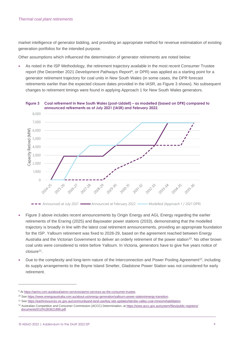market intelligence of generator bidding, and providing an appropriate method for revenue estimatation of existing generation portfolios for the intended purpose.

Other assumptions which influenced the determination of generator retirements are noted below:

As noted in the ISP Methodology, the retirement trajectory available in the most recent Consumer Trustee report (the December 2021 *Development Pathways Report*<sup>9</sup> , or DPR) was applied as a starting point for a generator retirement trajectory for coal units in New South Wales (in some cases, the DPR forecast retirements earlier than the expected closure dates provided in the IASR, as [Figure 3](#page-8-0) shows). No subsequent changes to retirement timings were found in applying Approach 1 for New South Wales generators.

<span id="page-8-0"></span>

- [Figure 3](#page-8-0) above includes recent announcements by Origin Energy and AGL Energy regarding the earlier retirements of the Eraring (2025) and Bayswater power stations (2033), demonstrating that the modelled trajectory is broadly in line with the latest coal retirement announcements, providing an appropriate foundation for the ISP. Yallourn retirement was fixed to 2028-29, based on the agreement reached between Energy Australia and the Victorian Government to deliver an orderly retirement of the power station<sup>10</sup>. No other brown coal units were considered to retire before Yallourn. In Victoria, generators have to give five years notice of closure<sup>11</sup>.
- Due to the complexity and long-term nature of the Interconnection and Power Pooling Agreement<sup>12</sup>, including its supply arrangements to the Boyne Island Smelter, Gladstone Power Station was not considered for early retirement.

<sup>&</sup>lt;sup>9</sup> At https://aemo.com.au/about/aemo-services/aemo-services-as-the-consumer-trustee

<sup>10</sup> Se[e https://www.energyaustralia.com.au/about-us/energy-generation/yallourn-power-station/energy-transition.](https://www.energyaustralia.com.au/about-us/energy-generation/yallourn-power-station/energy-transition)

<sup>11</sup> Se[e https://earthresources.vic.gov.au/communityand-land-use/key-site-updates/latrobe-valley-coal-mines/rehabilitation.](https://earthresources.vic.gov.au/communityand-land-use/key-site-updates/latrobe-valley-coal-mines/rehabilitation)

<sup>12</sup> Australian Competition and Consumer Commission (ACCC) Determination, at [https://www.accc.gov.au/system/files/public-registers/](https://www.accc.gov.au/system/files/public-registers/documents/D10%2B3621896.pdf) [documents/D10%2B3621896.pdf.](https://www.accc.gov.au/system/files/public-registers/documents/D10%2B3621896.pdf)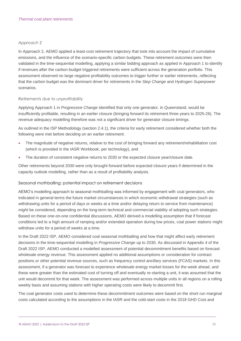#### *Approach 2*

In Approach 2, AEMO applied a least-cost retirement trajectory that took into account the impact of cumulative emissions, and the influence of the scenario-specific carbon budgets. These retirement outcomes were then validated in the time-sequential modelling, applying a similar bidding approach as applied in Approach 1 to identify if revenues after the carbon-budget triggered retirements were sufficient across the generation portfolio. This assessment observed no large negative profitability outcomes to trigger further or earlier retirements, reflecting that the carbon budget was the dominant driver for retirements in the *Step Change* and *Hydrogen Superpower* scenarios.

#### *Retirements due to unprofitability*

Applying Approach 1 in *Progressive Change* identified that only one generator, in Queensland, would be insufficiently profitable, resulting in an earlier closure (bringing forward its retirement three years to 2025-26). The revenue adequacy modelling therefore was not a significant driver for generator closure timings.

As outlined in the ISP Methodology (section 2.4.1), the criteria for early retirement considered whether both the following were met before deciding on an earlier retirement:

- The magnitude of negative returns, relative to the cost of bringing forward any retirement/rehabilitation cost (which is provided in the IASR Workbook, per technology), and
- The duration of consistent negative returns to 2030 or the expected closure year/closure date.

Other retirements beyond 2030 were only brought forward before expected closure years if determined in the capacity outlook modelling, rather than as a result of profitability analysis.

#### Seasonal mothballing: potential impact on retirement decisions

AEMO's modelling approach to seasonal mothballing was informed by engagement with coal generators, who indicated in general terms the future market circumstances in which economic withdrawal strategies (such as withdrawing units for a period of days or weeks at a time and/or delaying return to service from maintenance) *might* be considered, depending on the long-term technical and commercial viability of adopting such strategies. Based on these one-on-one confidential discussions, AEMO derived a modelling assumption that if forecast conditions led to a high amount of ramping and/or extended operation during low prices, coal power stations might withdraw units for a period of weeks at a time.

In the Draft 2022 ISP, AEMO considered coal seasonal mothballing and how that might affect early retirement decisions in the time-sequential modelling in *Progressive Change* up to 2030. As discussed in Appendix 4 of the Draft 2022 ISP, AEMO conducted a modelled assessment of potential decommitment benefits based on forecast wholesale energy revenue. This assessment applied no additional assumptions or consideration for contract positions or other potential revenue sources, such as frequency control ancillary services (FCAS) markets. In this assessment, if a generator was forecast to experience wholesale energy market losses for the week ahead, and these were greater than the estimated cost of turning off and eventually re-starting a unit, it was assumed that the unit would decommit for that week. The assessment was performed across multiple units in all regions on a rolling weekly basis and assuming stations with higher operating costs were likely to decommit first.

The coal generator costs used to determine these decommitment outcomes were based on the short run marginal costs calculated according to the assumptions in the IASR and the cold-start costs in the 2018 GHD Cost and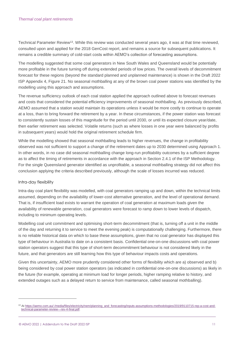Technical Parameter Review<sup>13</sup>. While this review was conducted several years ago, it was at that time reviewed, consulted upon and applied for the 2018 GenCost report, and remains a source for subsequent publications. It remains a credible summary of cold-start costs within AEMO's collection of forecasting assumptions.

The modelling suggested that some coal generators in New South Wales and Queensland would be potentially more profitable in the future turning off during extended periods of low prices. The overall levels of decommitment forecast for these regions (beyond the standard planned and unplanned maintenance) is shown in the Draft 2022 ISP Appendix 4, Figure 21. No seasonal mothballing at any of the brown coal power stations was identified by the modelling using this approach and assumptions.

The revenue sufficiency outlook of each coal station applied the approach outlined above to forecast revenues and costs that considered the potential efficiency improvements of seasonal mothballing. As previously described, AEMO assumed that a station would maintain its operations unless it would be more costly to continue to operate at a loss, than to bring forward the retirement by a year. In these circumstances, if the power station was forecast to consistently sustain losses of this magnitude for the period until 2030, or until its expected closure year/date, then earlier retirement was selected. Volatile returns (such as where losses in one year were balanced by profits in subsequent years) would hold the original retirement schedule firm.

While the modelling showed that seasonal mothballing leads to higher revenues, the change in profitability observed was not sufficient to support a change of the retirement dates up to 2030 determined using Approach 1. In other words, in no case did seasonal mothballing change long-run profitability outcomes by a sufficient degree as to affect the timing of retirements in accordance with the approach in Section 2.4.1 of the ISP Methodology. For the single Queensland generator identified as unprofitable, a seasonal mothballing strategy did not affect this conclusion applying the criteria described previously, although the scale of losses incurred was reduced.

#### Intra-day flexibility

Intra-day coal plant flexibility was modelled, with coal generators ramping up and down, within the technical limits assumed, depending on the availability of lower-cost alternative generation, and the level of operational demand. That is, if insufficient load exists to warrant the operation of coal generation at maximum loads given the availability of renewable generation, coal generators were forecast to ramp down to lower levels of dispatch, including to minimum operating levels.

Modelling coal unit commitment and optimising short-term decommitment (that is, turning off a unit in the middle of the day and returning it to service to meet the evening peak) is computationally challenging. Furthermore, there is no reliable historical data on which to base these assumptions, given that no coal generator has displayed this type of behaviour in Australia to date on a consistent basis. Confidential one-on-one discussions with coal power station operators suggest that this type of short-term decommitment behaviour is not considered likely in the future, and that generators are still learning how this type of behaviour impacts costs and operations.

Given this uncertainty, AEMO more prudently considered other forms of flexibility which are a) observed and b) being considered by coal power station operators (as indicated in confidential one-on-one discussions) as likely in the future (for example, operating at minimum load for longer periods, higher ramping relative to history, and extended outages such as a delayed return to service from maintenance, called seasonal mothballing).

<sup>13</sup> At [https://aemo.com.au/-/media/files/electricity/nem/planning\\_and\\_forecasting/inputs-assumptions-methodologies/2019/9110715-rep-a-cost-and](https://aemo.com.au/-/media/files/electricity/nem/planning_and_forecasting/inputs-assumptions-methodologies/2019/9110715-rep-a-cost-and-technical-parameter-review---rev-4-final.pdf)[technical-parameter-review---rev-4-final.pdf.](https://aemo.com.au/-/media/files/electricity/nem/planning_and_forecasting/inputs-assumptions-methodologies/2019/9110715-rep-a-cost-and-technical-parameter-review---rev-4-final.pdf)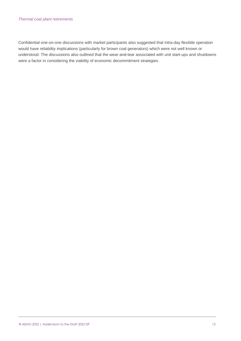#### *Thermal coal plant retirements*

Confidential one-on-one discussions with market participants also suggested that intra-day flexibile operation would have reliability implications (particularly for brown coal generators) which were not well known or understood. The discussions also outlined that the wear-and-tear associated with unit start-ups and shutdowns were a factor in considering the viability of economic decommitment strategies.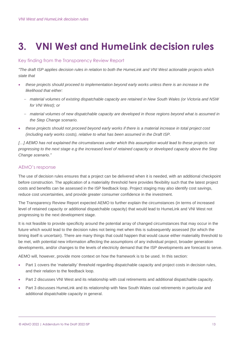## <span id="page-12-0"></span>**3. VNI West and HumeLink decision rules**

#### Key finding from the Transparency Review Report

*"The draft ISP applies decision rules in relation to both the HumeLink and VNI West actionable projects which state that* 

- *these projects should proceed to implementation beyond early works unless there is an increase in the likelihood that either:*
	- *material volumes of existing dispatchable capacity are retained in New South Wales (or Victoria and NSW for VNI West); or*
	- *material volumes of new dispatchable capacity are developed in those regions beyond what is assumed in the Step Change scenario.*
- *these projects should not proceed beyond early works if there is a material increase in total project cost (including early works costs), relative to what has been assumed in the Draft ISP.*

*[…] AEMO has not explained the circumstances under which this assumption would lead to these projects not progressing to the next stage e.g the increased level of retained capacity or developed capacity above the Step Change scenario."*

### AEMO's response

The use of decision rules ensures that a project can be delivered when it is needed, with an additional checkpoint before construction. The application of a materiality threshold here provides flexibility such that the latest project costs and benefits can be assessed in the ISP feedback loop. Project staging may also identify cost savings, reduce cost uncertainties, and provide greater consumer confidence in the investment.

The Transparency Review Report expected AEMO to further explain the circumstances (in terms of increased level of retained capacity or additional dispatchable capacity) that would lead to HumeLink and VNI West not progressing to the next development stage.

It is not feasible to provide specificity around the potential array of changed circumstances that may occur in the future which would lead to the decision rules not being met when this is subsequently assessed (for which the timing itself is uncertain). There are many things that could happen that would cause either materiality threshold to be met, with potential new information affecting the assumptions of any individual project, broader generation developments, and/or changes to the levels of electricity demand that the ISP developments are forecast to serve.

AEMO will, however, provide more context on how the framework is to be used. In this section:

- Part 1 covers the 'materiality' threshold regarding dispatchable capacity and project costs in decision rules, and their relation to the feedback loop.
- Part 2 discusses VNI West and its relationship with coal retirements and additional dispatchable capacity.
- Part 3 discusses HumeLink and its relationship with New South Wales coal retirements in particular and additional dispatchable capacity in general.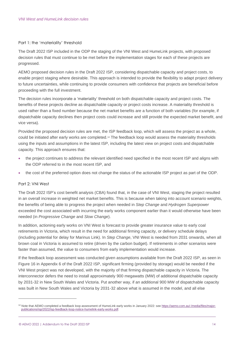#### Part 1: the 'materiality' threshold

The Draft 2022 ISP included in the ODP the staging of the VNI West and HumeLink projects, with proposed decision rules that must continue to be met before the implementation stages for each of these projects are progressed.

AEMO proposed decision rules in the Draft 2022 ISP, considering dispatchable capacity and project costs, to enable project staging where desirable. This approach is intended to provide the flexibility to adapt project delivery to future uncertainties, while continuing to provide consumers with confidence that projects are beneficial before proceeding with the full investment.

The decision rules incorporate a 'materiality' threshold on both dispatchable capacity and project costs. The benefits of these projects decline as dispatchable capacity or project costs increase. A materiality threshold is used rather than a fixed number because the net market benefits are a function of both variables (for example, if dispatchable capacity declines then project costs could increase and still provide the expected market benefit, and vice versa).

Provided the proposed decision rules are met, the ISP feedback loop, which will assess the project as a whole, could be initiated after early works are completed.<sup>14</sup> The feedback loop would assess the materiality thresholds using the inputs and assumptions in the latest ISP, including the latest view on project costs and dispatchable capacity. This approach ensures that:

- the project continues to address the relevant identified need specified in the most recent ISP and aligns with the ODP referred to in the most recent ISP, and
- the cost of the preferred option does not change the status of the actionable ISP project as part of the ODP.

#### Part 2: VNI West

The Draft 2022 ISP's cost benefit analysis (CBA) found that, in the case of VNI West, staging the project resulted in an overall increase in weighted net market benefits. This is because when taking into account scenario weights, the benefits of being able to progress the project when needed in *Step Change* and *Hydrogen Superpower*  exceeded the cost associated with incurring the early works component earlier than it would otherwise have been needed (in *Progressive Change* and *Slow Change*).

In addition, actioning early works on VNI West is forecast to provide greater insurance value to early coal retirements in Victoria, which result in the need for additional firming capacity, or delivery schedule delays (including potential for delay for Marinus Link). In *Step Change*, VNI West is needed from 2031 onwards, when all brown coal in Victoria is assumed to retire (driven by the carbon budget). If retirements in other scenarios were faster than assumed, the value to consumers from early implementation would increase.

If the feedback loop assessment was conducted given assumptions available from the Draft 2022 ISP, as seen in Figure 16 in Appendix 6 of the Draft 2022 ISP, significant firming (provided by storage) would be needed if the VNI West project was not developed, with the majority of that firming dispatchable capacity in Victoria. The interconnector defers the need to install approximately 900 megawatts (MW) of additional dispatchable capacity by 2031-32 in New South Wales and Victoria. Put another way, if an additional 900 MW of dispatchable capacity was built in New South Wales and Victoria by 2031-32 above what is assumed in the model, and all else

<sup>14</sup> Note that AEMO completed a feedback loop assessment of HumeLink early works in January 2022: se[e https://aemo.com.au/-/media/files/major](https://aemo.com.au/-/media/files/major-publications/isp/2022/isp-feedback-loop-notice-humelink-early-works.pdf)[publications/isp/2022/isp-feedback-loop-notice-humelink-early-works.pdf.](https://aemo.com.au/-/media/files/major-publications/isp/2022/isp-feedback-loop-notice-humelink-early-works.pdf)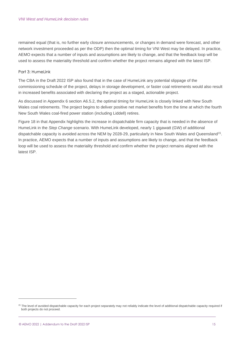remained equal (that is, no further early closure announcements, or changes in demand were forecast, and other network investment proceeded as per the ODP) then the optimal timing for VNI West may be delayed. In practice, AEMO expects that a number of inputs and assumptions are likely to change, and that the feedback loop will be used to assess the materiality threshold and confirm whether the project remains aligned with the latest ISP.

#### Part 3: Humel ink

The CBA in the Draft 2022 ISP also found that in the case of HumeLink any potential slippage of the commissioning schedule of the project, delays in storage development, or faster coal retirements would also result in increased benefits associated with declaring the project as a staged, actionable project.

As discussed in Appendix 6 section A6.5.2, the optimal timing for HumeLink is closely linked with New South Wales coal retirements. The project begins to deliver positive net market benefits from the time at which the fourth New South Wales coal-fired power station (including Liddell) retires.

Figure 18 in that Appendix highlights the increase in dispatchable firm capacity that is needed in the absence of HumeLink in the *Step Change* scenario. With HumeLink developed, nearly 1 gigawatt (GW) of additional dispatchable capacity is avoided across the NEM by 2028-29, particularly in New South Wales and Queensland<sup>15</sup>. In practice, AEMO expects that a number of inputs and assumptions are likely to change, and that the feedback loop will be used to assess the materiality threshold and confirm whether the project remains aligned with the latest ISP.

<sup>&</sup>lt;sup>15</sup> The level of avoided dispatchable capacity for each project separately may not reliably indicate the level of additional dispatchable capacity required if both projects do not proceed.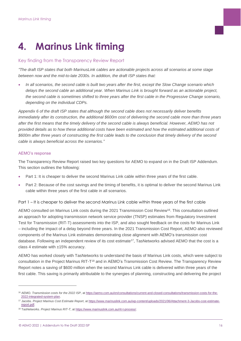## <span id="page-15-0"></span>**4. Marinus Link timing**

#### Key finding from the Transparency Review Report

*"The draft ISP states that both MarinusLink cables are actionable projects across all scenarios at some stage between now and the mid-to-late 2030s. In addition, the draft ISP states that:*

• *In all scenarios, the second cable is built two years after the first, except the Slow Change scenario which delays the second cable an additional year. When Marinus Link is brought forward as an actionable project, the second cable is sometimes shifted to three years after the first cable in the Progressive Change scenario, depending on the individual CDPs.* 

*Appendix 6 of the draft ISP states that although the second cable does not necessarily deliver benefits immediately after its construction, the additional \$600m cost of delivering the second cable more than three years after the first means that the timely delivery of the second cable is always beneficial. However, AEMO has not provided details as to how these additional costs have been estimated and how the estimated additional costs of \$600m after three years of constructing the first cable leads to the conclusion that timely delivery of the second cable is always beneficial across the scenarios."*

#### AEMO's response

The Transparency Review Report raised two key questions for AEMO to expand on in the Draft ISP Addendum. This section outlines the following:

- Part 1: It is cheaper to deliver the second Marinus Link cable within three years of the first cable.
- Part 2: Because of the cost savings and the timing of benefits, it is optimal to deliver the second Marinus Link cable within three years of the first cable in all scenarios.

Part 1 – It is cheaper to deliver the second Marinus Link cable within three years of the first cable

AEMO consulted on Marinus Link costs during the 2021 Transmission Cost Review<sup>16</sup>. This consultation outlined an approach for adopting transmission network service provider (TNSP) estimates from Regulatory Investment Test for Transmission (RIT-T) assessments into the ISP, and also sought feedback on the costs for Marinus Link – including the impact of a delay beyond three years. In the 2021 Transmission Cost Report, AEMO also reviewed components of the Marinus Link estimates demonstrating close alignment with AEMO's transmission cost database. Following an independent review of its cost estimate<sup>17</sup>, TasNetworks advised AEMO that the cost is a class 4 estimate with ±15% accuracy.

AEMO has worked closely with TasNetworks to understand the basis of Marinus Link costs, which were subject to consultation in the Project Marinus RIT-T<sup>18</sup> and in AEMO's Transmission Cost Review. The Transparency Review Report notes a saving of \$600 million when the second Marinus Link cable is delivered within three years of the first cable. This saving is primarily attributable to the synergies of planning, constructing and delivering the project

<sup>16</sup> AEMO. *Transmission costs for the 2022 ISP*, a[t https://aemo.com.au/en/consultations/current-and-closed-consultations/transmission-costs-for-the-](https://aemo.com.au/en/consultations/current-and-closed-consultations/transmission-costs-for-the-2022-integrated-system-plan)[2022-integrated-system-plan.](https://aemo.com.au/en/consultations/current-and-closed-consultations/transmission-costs-for-the-2022-integrated-system-plan)

<sup>17</sup> Jacobs. *Project Marinus Cost Estimate Report*, at [https://www.marinuslink.com.au/wp-content/uploads/2021/06/Attachment-3-Jacobs-cost-estimate](https://www.marinuslink.com.au/wp-content/uploads/2021/06/Attachment-3-Jacobs-cost-estimate-report.pdf)[report.pdf.](https://www.marinuslink.com.au/wp-content/uploads/2021/06/Attachment-3-Jacobs-cost-estimate-report.pdf) 

<sup>18</sup> TasNetworks. *Project Marinus RIT-T*, at [https://www.marinuslink.com.au/rit-t-process/.](https://www.marinuslink.com.au/rit-t-process/)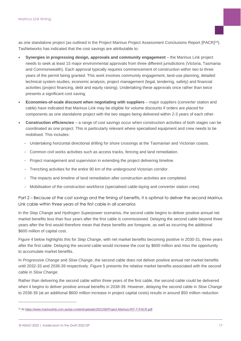as one standalone project (as outlined in the Project Marinus Project Assessment Conclusions Report [PACR]<sup>19</sup>). TasNetworks has indicated that the cost savings are attributable to:

- **Synergies in progressing design, approvals and community engagement**  the Marinus Link project needs to seek at least 15 major environmental approvals from three different jurisdictions (Victoria, Tasmania and Commonwealth). Each approval typically requires commencement of construction within two to three years of the permit being granted. This work involves community engagement, land-use planning, detailed technical system studies, economic analysis, project management (legal, tendering, safety) and financial activities (project financing, debt and equity raising). Undertaking these approvals once rather than twice presents a significant cost saving.
- **Economies-of-scale discount when negotiating with suppliers** major suppliers (converter station and cable) have indicated that Marinus Link may be eligible for volume discounts if orders are placed for components as one standalone project with the two stages being delivered within 2-3 years of each other.
- **Construction efficiencies** a range of cost savings occur when construction activities of both stages can be coordinated as one project. This is particularly relevant where specialised equipment and crew needs to be mobilised. This includes:
	- Undertaking horizontal directional drilling for shore crossings at the Tasmanian and Victorian coasts.
	- Common civil works activities such as access tracks, fencing and land remediation.
	- Project management and supervision in extending the project delivering timeline.
	- Trenching activities for the entire 90 km of the underground Victorian corridor.
	- The impacts and timeline of land remediation after construction activities are completed.
	- Mobilisation of the construction workforce (specialised cable-laying and converter station crew).

Part 2 – Because of the cost savings and the timing of benefits, it is optimal to deliver the second Marinus Link cable within three years of the first cable in all scenarios

In the *Step Change* and *Hydrogen Superpower* scenarios, the second cable begins to deliver positive annual net market benefits less than four years after the first cable is commissioned. Delaying the second cable beyond three years after the first would therefore mean that these benefits are foregone, as well as incurring the additional \$600 million of capital cost.

[Figure 4](#page-17-0) below highlights this for *Step Change*, with net market benefits becoming positive in 2030-31, three years after the first cable. Delaying the second cable would increase the cost by \$600 million and miss the opportunity to accumulate market benefits.

In *Progressive Change* and *Slow Change*, the second cable does not deliver positive annual net market benefits until 2032-33 and 2038-39 respectively. [Figure 5](#page-17-1) presents the relative market benefits associated with the second cable in *Slow Change*.

Rather than delivering the second cable within three years of the first cable, the second cable could be delivered when it begins to deliver positive annual benefits in 2038-39. However, delaying the second cable in *Slow Change* to 2038-39 (at an additional \$600 million increase in project capital costs) results in around \$50 million reduction

<sup>19</sup> At [https://www.marinuslink.com.au/wp-content/uploads/2021/06/Project-Marinus-RIT-T-PACR.pdf.](https://www.marinuslink.com.au/wp-content/uploads/2021/06/Project-Marinus-RIT-T-PACR.pdf)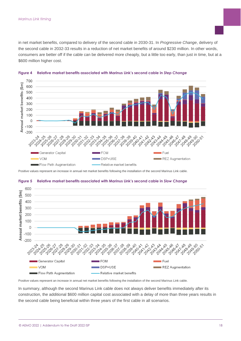in net market benefits, compared to delivery of the second cable in 2030-31. In *Progressive Change*, delivery of the second cable in 2032-33 results in a reduction of net market benefits of around \$230 million. In other words, consumers are better off if the cable can be delivered more cheaply, but a little too early, than just in time, but at a \$600 million higher cost.



<span id="page-17-0"></span>

Positive values represent an increase in annual net market benefits following the installation of the second Marinus Link cable.



#### <span id="page-17-1"></span>**Figure 5 Relative market benefits associated with Marinus Link's second cable in** *Slow Change*

Positive values represent an increase in annual net market benefits following the installation of the second Marinus Link cable.

In summary, although the second Marinus Link cable does not always deliver benefits immediately after its construction, the additional \$600 million capital cost associated with a delay of more than three years results in the second cable being beneficial within three years of the first cable in all scenarios.